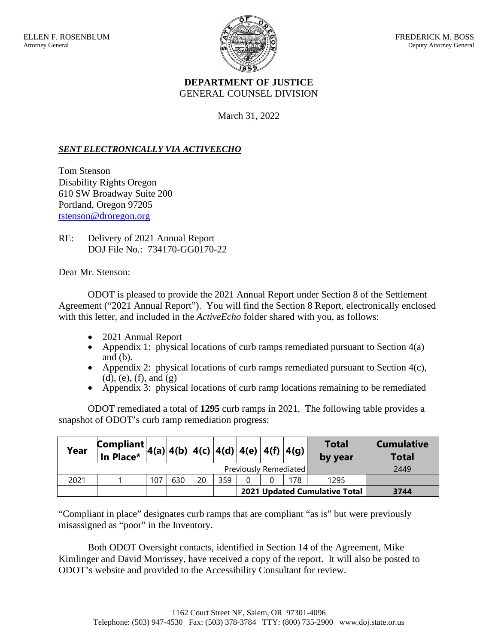

## **DEPARTMENT OF JUSTICE**  GENERAL COUNSEL DIVISION

March 31, 2022

## *SENT ELECTRONICALLY VIA ACTIVEECHO*

Tom Stenson Disability Rights Oregon 610 SW Broadway Suite 200 Portland, Oregon 97205 tstenson@droregon.org

RE: Delivery of 2021 Annual Report DOJ File No.: 734170-GG0170-22

Dear Mr. Stenson:

ODOT is pleased to provide the 2021 Annual Report under Section 8 of the Settlement Agreement ("2021 Annual Report"). You will find the Section 8 Report, electronically enclosed with this letter, and included in the *ActiveEcho* folder shared with you, as follows:

- 2021 Annual Report
- Appendix 1: physical locations of curb ramps remediated pursuant to Section  $4(a)$ and (b).
- Appendix 2: physical locations of curb ramps remediated pursuant to Section  $4(c)$ , (d), (e), (f), and  $(g)$
- Appendix 3: physical locations of curb ramp locations remaining to be remediated

ODOT remediated a total of **1295** curb ramps in 2021. The following table provides a snapshot of ODOT's curb ramp remediation progress:

| Year                  | $\lim_{\text{ar} \to 0} \left  \text{Compliant} \right  4(a) \left  4(b) \right  4(c) \left  4(d) \right  4(e) \left  4(f) \right  4(g) \right $<br>In Place* |     |     |    |     |  |  |                                      | <b>Total</b><br>by year | <b>Cumulative</b><br><b>Total</b> |
|-----------------------|---------------------------------------------------------------------------------------------------------------------------------------------------------------|-----|-----|----|-----|--|--|--------------------------------------|-------------------------|-----------------------------------|
| Previously Remediated |                                                                                                                                                               |     |     |    |     |  |  |                                      |                         | 2449                              |
| 2021                  |                                                                                                                                                               | 107 | 630 | 20 | 359 |  |  | 178                                  | 1295                    |                                   |
|                       |                                                                                                                                                               |     |     |    |     |  |  | <b>2021 Updated Cumulative Total</b> | 3744                    |                                   |

"Compliant in place" designates curb ramps that are compliant "as is" but were previously misassigned as "poor" in the Inventory.

Both ODOT Oversight contacts, identified in Section 14 of the Agreement, Mike Kimlinger and David Morrissey, have received a copy of the report. It will also be posted to ODOT's website and provided to the Accessibility Consultant for review.